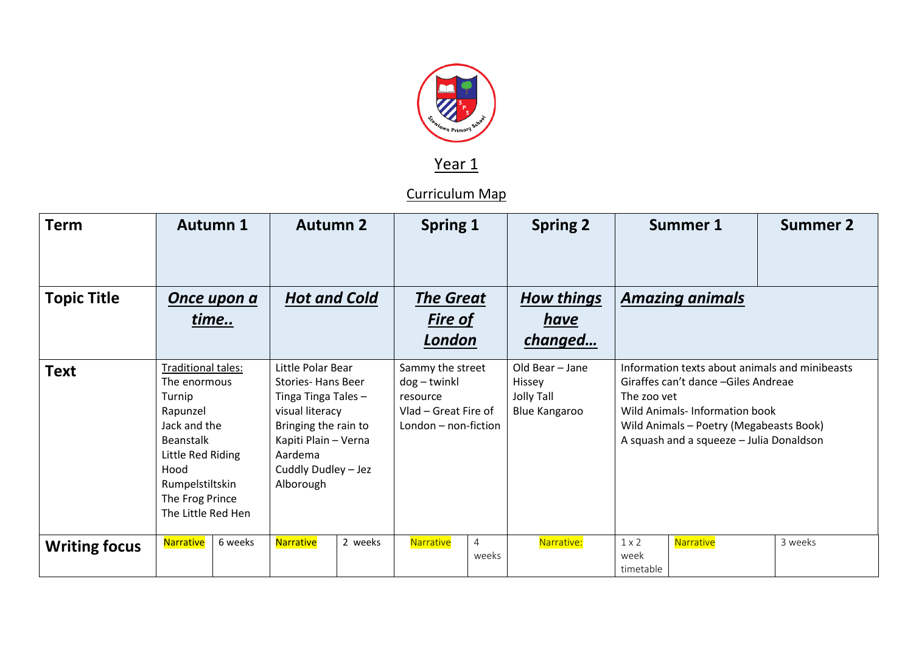

Year 1

Curriculum Map

| <b>Term</b>          |                                                                                                                                                                                       | <b>Autumn 1</b> | <b>Autumn 2</b>                                                                                                                                                                        |         |                                                                                                | <b>Spring 1</b> |                             |                                         | <b>Spring 2</b>                                                                                                                                                                                                               |                                   | Summer 1  |  | <b>Summer 2</b> |
|----------------------|---------------------------------------------------------------------------------------------------------------------------------------------------------------------------------------|-----------------|----------------------------------------------------------------------------------------------------------------------------------------------------------------------------------------|---------|------------------------------------------------------------------------------------------------|-----------------|-----------------------------|-----------------------------------------|-------------------------------------------------------------------------------------------------------------------------------------------------------------------------------------------------------------------------------|-----------------------------------|-----------|--|-----------------|
| <b>Topic Title</b>   | Once upon a<br>time                                                                                                                                                                   |                 | <b>Hot and Cold</b>                                                                                                                                                                    |         | <b>The Great</b><br><b>Fire of</b><br>London                                                   |                 |                             | <b>How things</b><br>have<br>changed    | <b>Amazing animals</b>                                                                                                                                                                                                        |                                   |           |  |                 |
| <b>Text</b>          | Traditional tales:<br>The enormous<br>Turnip<br>Rapunzel<br>Jack and the<br><b>Beanstalk</b><br>Little Red Riding<br>Hood<br>Rumpelstiltskin<br>The Frog Prince<br>The Little Red Hen |                 | Little Polar Bear<br><b>Stories-Hans Beer</b><br>Tinga Tinga Tales -<br>visual literacy<br>Bringing the rain to<br>Kapiti Plain - Verna<br>Aardema<br>Cuddly Dudley - Jez<br>Alborough |         | Sammy the street<br>$dog - twinkl$<br>resource<br>Vlad – Great Fire of<br>London - non-fiction |                 | Hissey<br><b>Jolly Tall</b> | Old Bear - Jane<br><b>Blue Kangaroo</b> | Information texts about animals and minibeasts<br>Giraffes can't dance - Giles Andreae<br>The zoo vet<br>Wild Animals-Information book<br>Wild Animals - Poetry (Megabeasts Book)<br>A squash and a squeeze - Julia Donaldson |                                   |           |  |                 |
| <b>Writing focus</b> | Narrative                                                                                                                                                                             | 6 weeks         | Narrative                                                                                                                                                                              | 2 weeks |                                                                                                | Narrative       | $\overline{4}$<br>weeks     |                                         | Narrative:                                                                                                                                                                                                                    | $1 \times 2$<br>week<br>timetable | Narrative |  | 3 weeks         |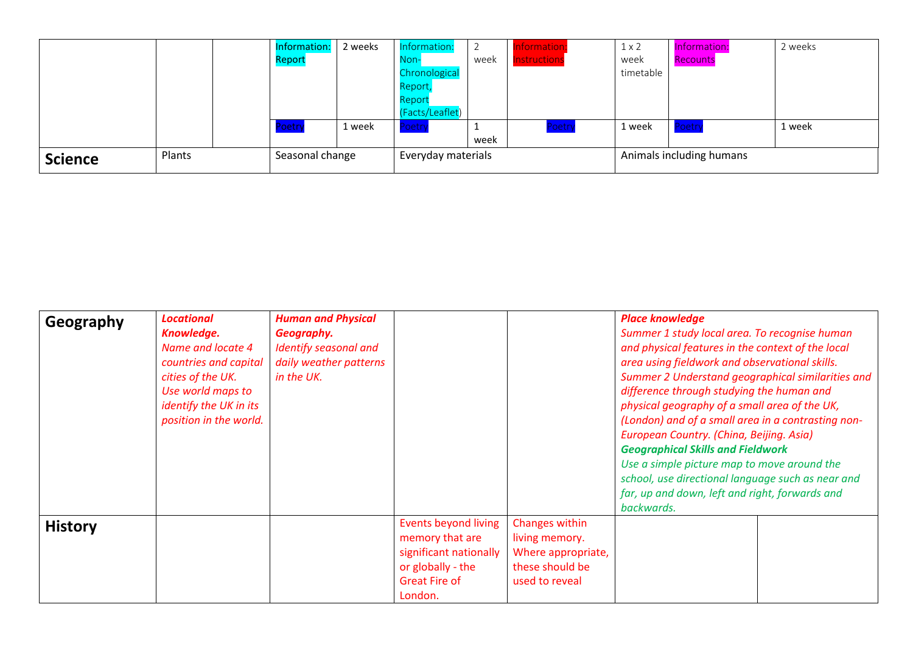|                |        |  | Information:<br>Report | 2 weeks | Information:<br>Non-<br>Chronological | week | nformation<br><b>Instructions</b> | $1 \times 2$<br>week<br>timetable | Information:<br>Recounts | 2 weeks |
|----------------|--------|--|------------------------|---------|---------------------------------------|------|-----------------------------------|-----------------------------------|--------------------------|---------|
|                |        |  |                        |         | Report<br>Report<br>(Facts/Leaflet)   |      |                                   |                                   |                          |         |
|                |        |  | Poetry                 | 1 week  | oetry                                 | week | Poetry                            | 1 week                            | Poetry                   | 1 week  |
| <b>Science</b> | Plants |  | Seasonal change        |         | Everyday materials                    |      |                                   | Animals including humans          |                          |         |

| Geography      | <b>Locational</b>      | <b>Human and Physical</b> |                             |                    | <b>Place knowledge</b>                            |                                                    |  |  |
|----------------|------------------------|---------------------------|-----------------------------|--------------------|---------------------------------------------------|----------------------------------------------------|--|--|
|                | Knowledge.             | Geography.                |                             |                    | Summer 1 study local area. To recognise human     |                                                    |  |  |
|                | Name and locate 4      | Identify seasonal and     |                             |                    | and physical features in the context of the local |                                                    |  |  |
|                | countries and capital  | daily weather patterns    |                             |                    | area using fieldwork and observational skills.    |                                                    |  |  |
|                | cities of the UK.      | in the UK.                |                             |                    | Summer 2 Understand geographical similarities and |                                                    |  |  |
|                | Use world maps to      |                           |                             |                    | difference through studying the human and         |                                                    |  |  |
|                | identify the UK in its |                           |                             |                    | physical geography of a small area of the UK,     |                                                    |  |  |
|                | position in the world. |                           |                             |                    |                                                   | (London) and of a small area in a contrasting non- |  |  |
|                |                        |                           |                             |                    | European Country. (China, Beijing. Asia)          |                                                    |  |  |
|                |                        |                           |                             |                    | <b>Geographical Skills and Fieldwork</b>          |                                                    |  |  |
|                |                        |                           |                             |                    | Use a simple picture map to move around the       |                                                    |  |  |
|                |                        |                           |                             |                    | school, use directional language such as near and |                                                    |  |  |
|                |                        |                           |                             |                    | far, up and down, left and right, forwards and    |                                                    |  |  |
|                |                        |                           |                             |                    | backwards.                                        |                                                    |  |  |
| <b>History</b> |                        |                           | <b>Events beyond living</b> | Changes within     |                                                   |                                                    |  |  |
|                |                        |                           | memory that are             | living memory.     |                                                   |                                                    |  |  |
|                |                        |                           | significant nationally      | Where appropriate, |                                                   |                                                    |  |  |
|                |                        |                           | or globally - the           | these should be    |                                                   |                                                    |  |  |
|                |                        |                           | Great Fire of               | used to reveal     |                                                   |                                                    |  |  |
|                |                        |                           | London.                     |                    |                                                   |                                                    |  |  |